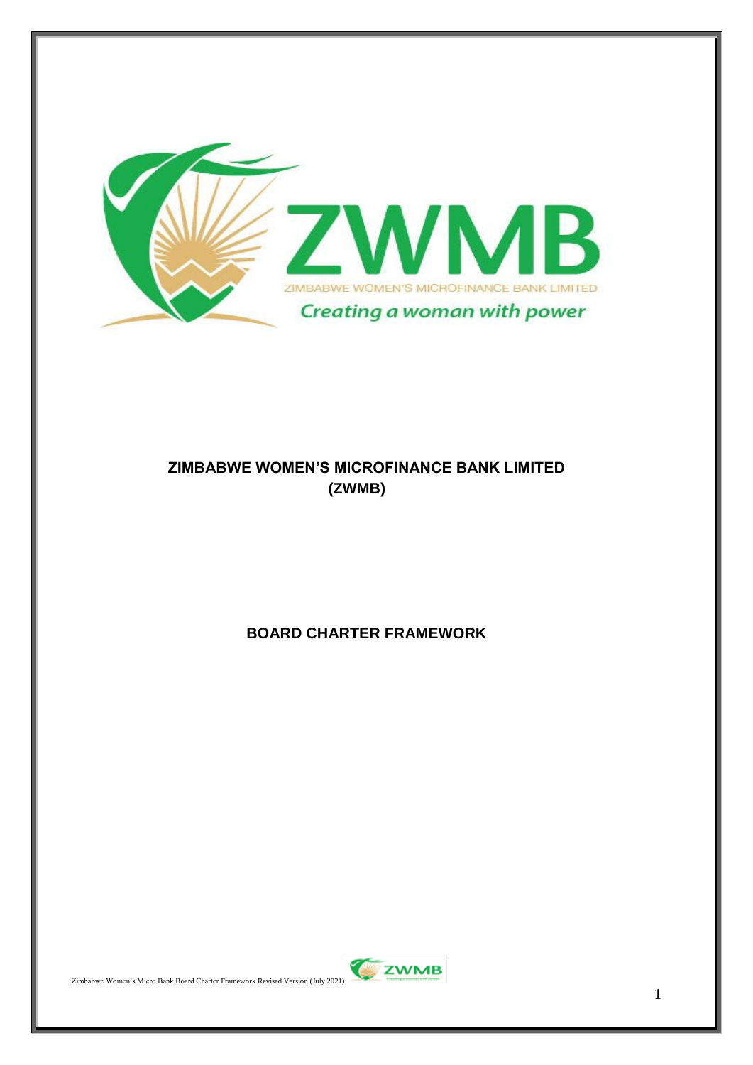

#### **ZIMBABWE WOMEN'S MICROFINANCE BANK LIMITED (ZWMB)**

## **BOARD CHARTER FRAMEWORK**

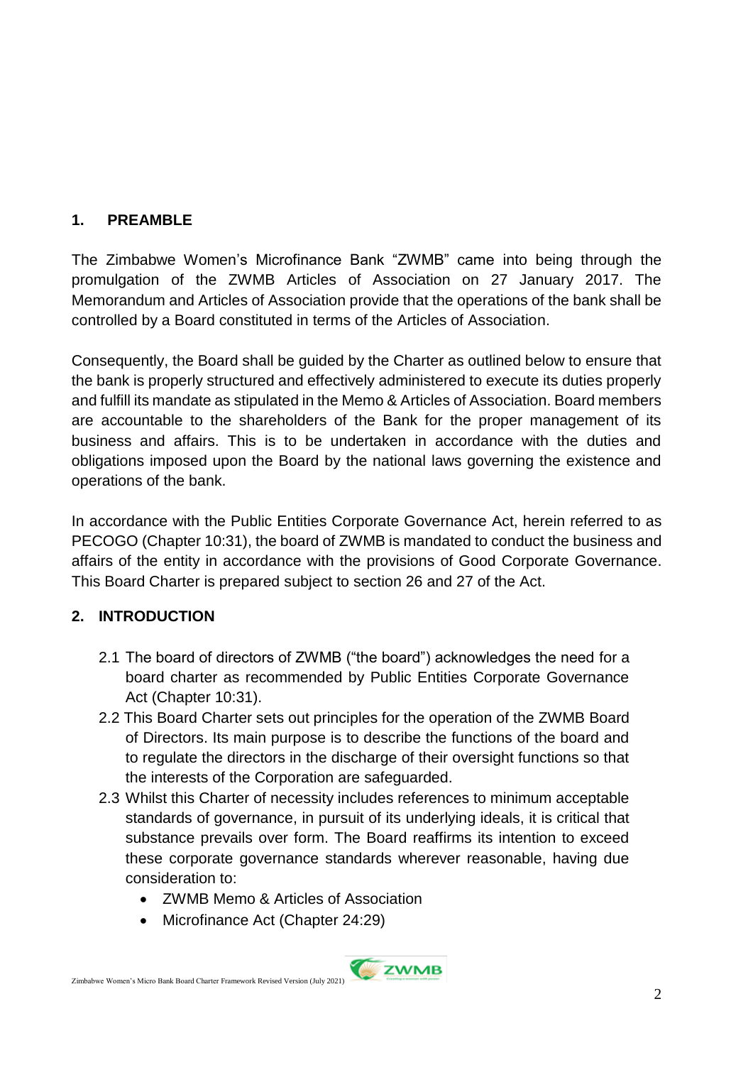## **1. PREAMBLE**

The Zimbabwe Women's Microfinance Bank "ZWMB" came into being through the promulgation of the ZWMB Articles of Association on 27 January 2017. The Memorandum and Articles of Association provide that the operations of the bank shall be controlled by a Board constituted in terms of the Articles of Association.

Consequently, the Board shall be guided by the Charter as outlined below to ensure that the bank is properly structured and effectively administered to execute its duties properly and fulfill its mandate as stipulated in the Memo & Articles of Association. Board members are accountable to the shareholders of the Bank for the proper management of its business and affairs. This is to be undertaken in accordance with the duties and obligations imposed upon the Board by the national laws governing the existence and operations of the bank.

In accordance with the Public Entities Corporate Governance Act, herein referred to as PECOGO (Chapter 10:31), the board of ZWMB is mandated to conduct the business and affairs of the entity in accordance with the provisions of Good Corporate Governance. This Board Charter is prepared subject to section 26 and 27 of the Act.

# **2. INTRODUCTION**

- 2.1 The board of directors of ZWMB ("the board") acknowledges the need for a board charter as recommended by Public Entities Corporate Governance Act (Chapter 10:31).
- 2.2 This Board Charter sets out principles for the operation of the ZWMB Board of Directors. Its main purpose is to describe the functions of the board and to regulate the directors in the discharge of their oversight functions so that the interests of the Corporation are safeguarded.
- 2.3 Whilst this Charter of necessity includes references to minimum acceptable standards of governance, in pursuit of its underlying ideals, it is critical that substance prevails over form. The Board reaffirms its intention to exceed these corporate governance standards wherever reasonable, having due consideration to:
	- ZWMB Memo & Articles of Association
	- Microfinance Act (Chapter 24:29)

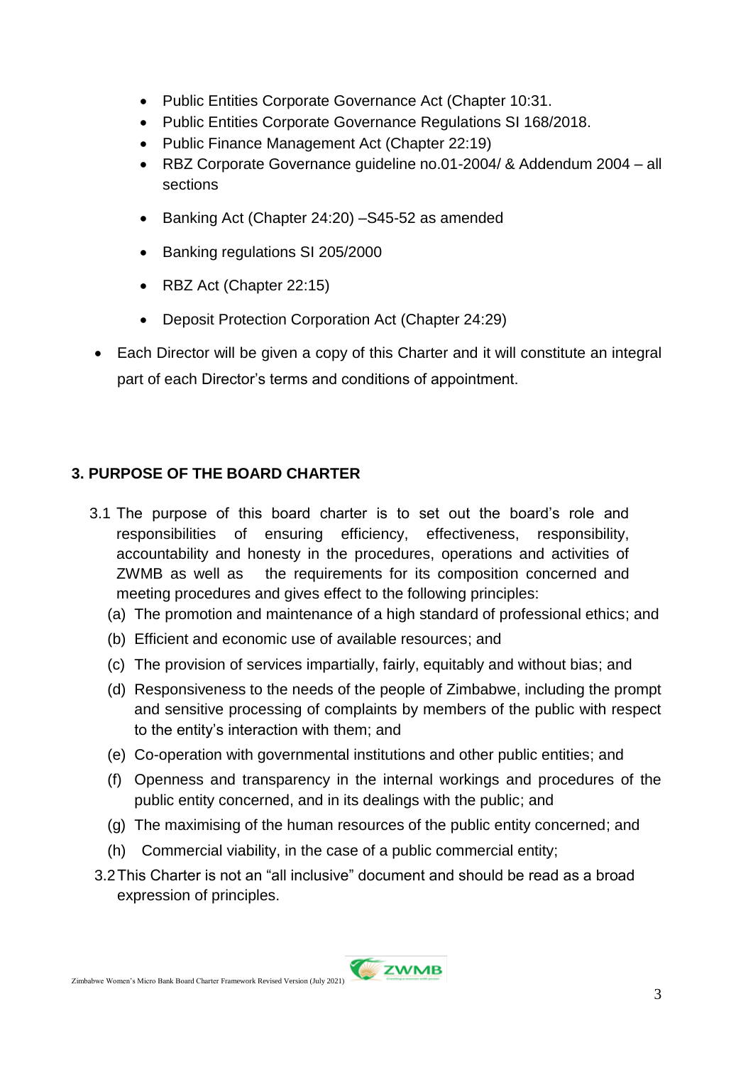- Public Entities Corporate Governance Act (Chapter 10:31.
- Public Entities Corporate Governance Regulations SI 168/2018.
- Public Finance Management Act (Chapter 22:19)
- RBZ Corporate Governance guideline no.01-2004/ & Addendum 2004 all sections
- Banking Act (Chapter 24:20) –S45-52 as amended
- Banking regulations SI 205/2000
- RBZ Act (Chapter 22:15)
- Deposit Protection Corporation Act (Chapter 24:29)
- Each Director will be given a copy of this Charter and it will constitute an integral part of each Director's terms and conditions of appointment.

## **3. PURPOSE OF THE BOARD CHARTER**

- 3.1 The purpose of this board charter is to set out the board's role and responsibilities of ensuring efficiency, effectiveness, responsibility, accountability and honesty in the procedures, operations and activities of ZWMB as well as the requirements for its composition concerned and meeting procedures and gives effect to the following principles:
	- (a) The promotion and maintenance of a high standard of professional ethics; and
	- (b) Efficient and economic use of available resources; and
	- (c) The provision of services impartially, fairly, equitably and without bias; and
	- (d) Responsiveness to the needs of the people of Zimbabwe, including the prompt and sensitive processing of complaints by members of the public with respect to the entity's interaction with them; and
	- (e) Co-operation with governmental institutions and other public entities; and
	- (f) Openness and transparency in the internal workings and procedures of the public entity concerned, and in its dealings with the public; and
	- (g) The maximising of the human resources of the public entity concerned; and
	- (h) Commercial viability, in the case of a public commercial entity;
- 3.2This Charter is not an "all inclusive" document and should be read as a broad expression of principles.

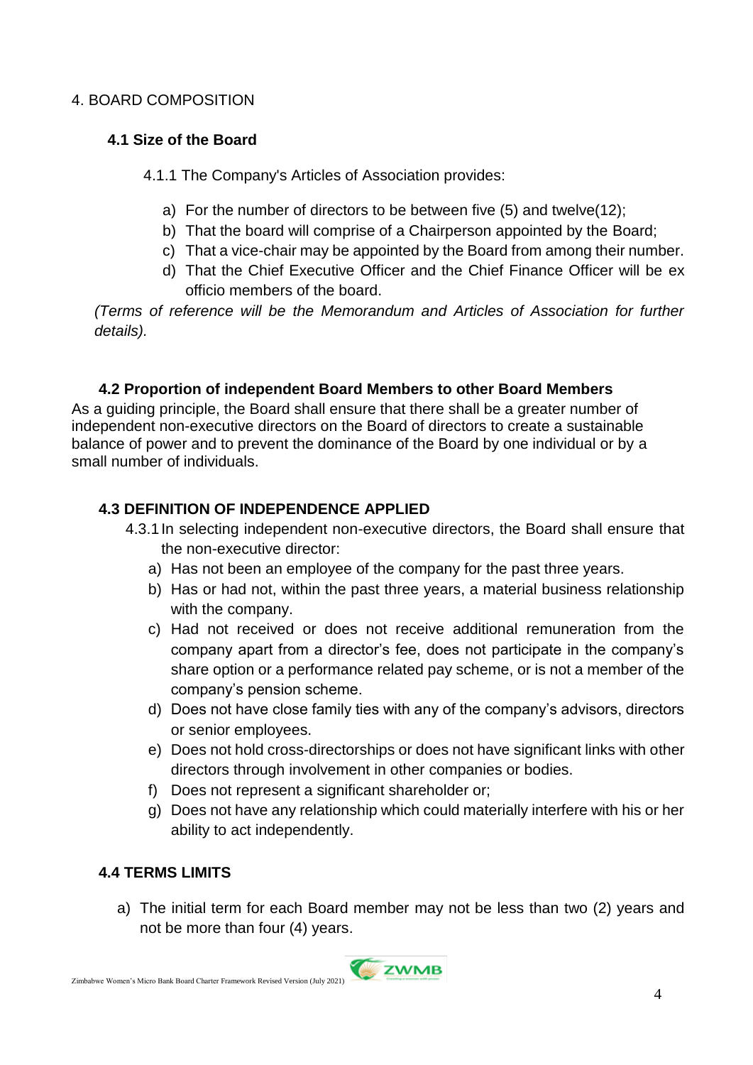#### 4. BOARD COMPOSITION

#### **4.1 Size of the Board**

- 4.1.1 The Company's Articles of Association provides:
	- a) For the number of directors to be between five (5) and twelve(12);
	- b) That the board will comprise of a Chairperson appointed by the Board;
	- c) That a vice-chair may be appointed by the Board from among their number.
	- d) That the Chief Executive Officer and the Chief Finance Officer will be ex officio members of the board.

*(Terms of reference will be the Memorandum and Articles of Association for further details).*

#### **4.2 Proportion of independent Board Members to other Board Members**

As a guiding principle, the Board shall ensure that there shall be a greater number of independent non-executive directors on the Board of directors to create a sustainable balance of power and to prevent the dominance of the Board by one individual or by a small number of individuals.

## **4.3 DEFINITION OF INDEPENDENCE APPLIED**

- 4.3.1In selecting independent non-executive directors, the Board shall ensure that the non-executive director:
	- a) Has not been an employee of the company for the past three years.
	- b) Has or had not, within the past three years, a material business relationship with the company.
	- c) Had not received or does not receive additional remuneration from the company apart from a director's fee, does not participate in the company's share option or a performance related pay scheme, or is not a member of the company's pension scheme.
	- d) Does not have close family ties with any of the company's advisors, directors or senior employees.
	- e) Does not hold cross-directorships or does not have significant links with other directors through involvement in other companies or bodies.
	- f) Does not represent a significant shareholder or;
	- g) Does not have any relationship which could materially interfere with his or her ability to act independently.

## **4.4 TERMS LIMITS**

a) The initial term for each Board member may not be less than two (2) years and not be more than four (4) years.

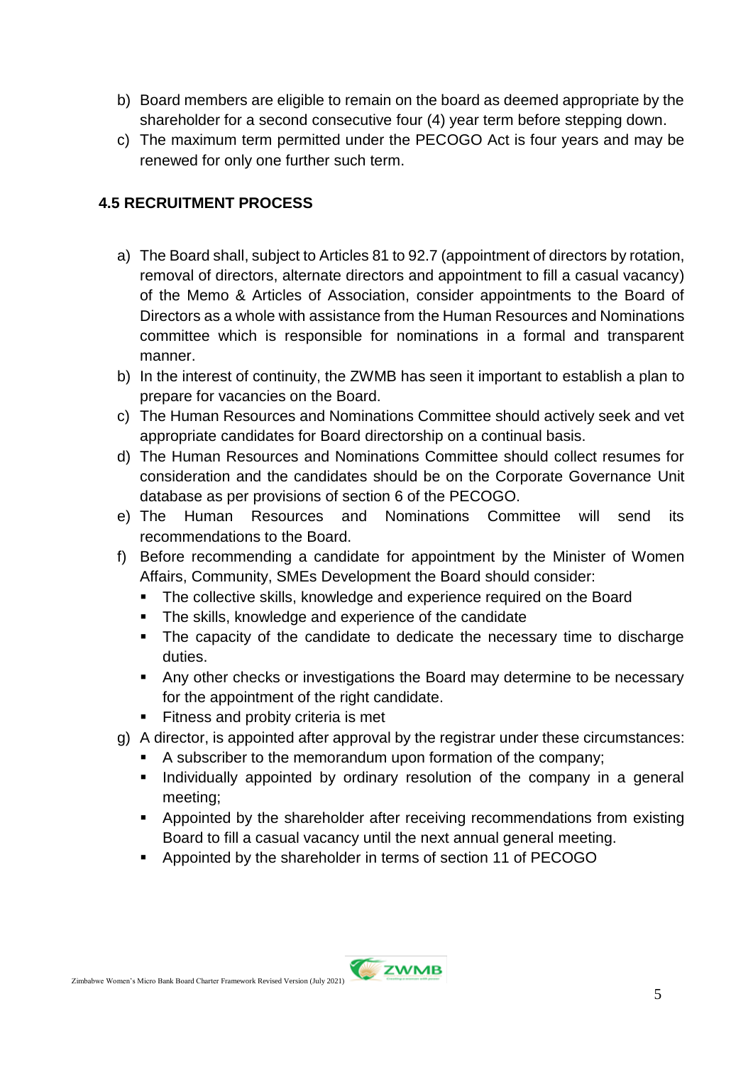- b) Board members are eligible to remain on the board as deemed appropriate by the shareholder for a second consecutive four (4) year term before stepping down.
- c) The maximum term permitted under the PECOGO Act is four years and may be renewed for only one further such term.

## **4.5 RECRUITMENT PROCESS**

- a) The Board shall, subject to Articles 81 to 92.7 (appointment of directors by rotation, removal of directors, alternate directors and appointment to fill a casual vacancy) of the Memo & Articles of Association, consider appointments to the Board of Directors as a whole with assistance from the Human Resources and Nominations committee which is responsible for nominations in a formal and transparent manner.
- b) In the interest of continuity, the ZWMB has seen it important to establish a plan to prepare for vacancies on the Board.
- c) The Human Resources and Nominations Committee should actively seek and vet appropriate candidates for Board directorship on a continual basis.
- d) The Human Resources and Nominations Committee should collect resumes for consideration and the candidates should be on the Corporate Governance Unit database as per provisions of section 6 of the PECOGO.
- e) The Human Resources and Nominations Committee will send its recommendations to the Board.
- f) Before recommending a candidate for appointment by the Minister of Women Affairs, Community, SMEs Development the Board should consider:
	- The collective skills, knowledge and experience required on the Board
	- The skills, knowledge and experience of the candidate
	- The capacity of the candidate to dedicate the necessary time to discharge duties.
	- Any other checks or investigations the Board may determine to be necessary for the appointment of the right candidate.
	- Fitness and probity criteria is met
- g) A director, is appointed after approval by the registrar under these circumstances:
	- A subscriber to the memorandum upon formation of the company;
	- **Individually appointed by ordinary resolution of the company in a general** meeting;
	- Appointed by the shareholder after receiving recommendations from existing Board to fill a casual vacancy until the next annual general meeting.
	- **Appointed by the shareholder in terms of section 11 of PECOGO**

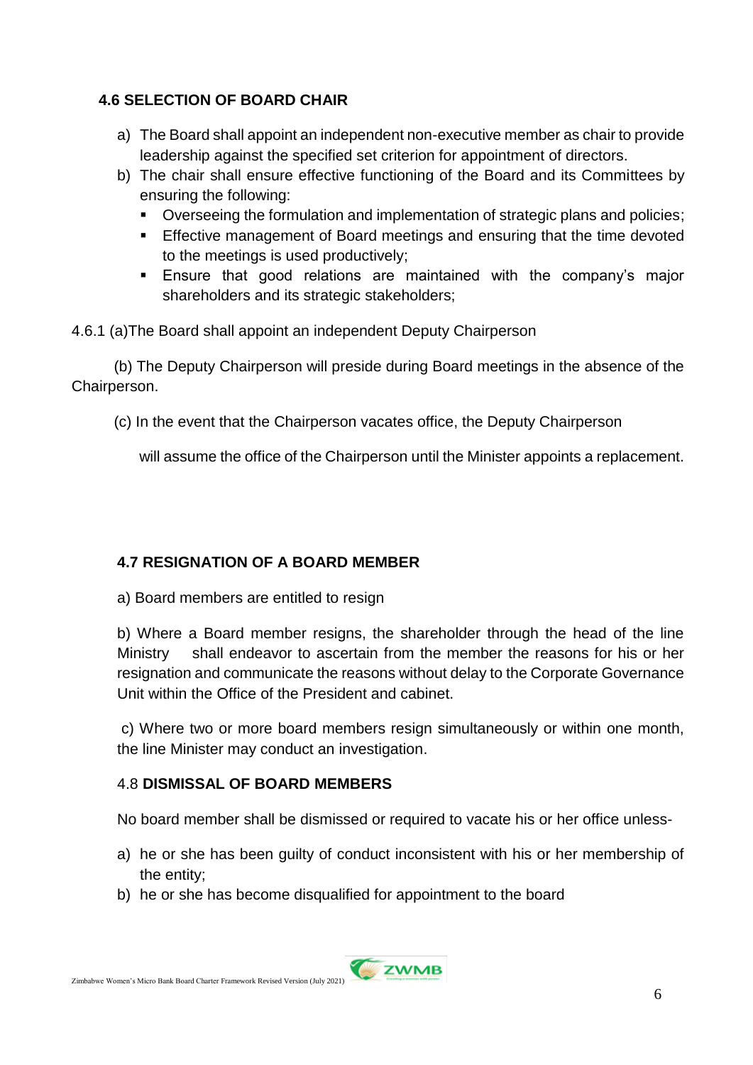## **4.6 SELECTION OF BOARD CHAIR**

- a) The Board shall appoint an independent non-executive member as chair to provide leadership against the specified set criterion for appointment of directors.
- b) The chair shall ensure effective functioning of the Board and its Committees by ensuring the following:
	- Overseeing the formulation and implementation of strategic plans and policies;
	- **Effective management of Board meetings and ensuring that the time devoted** to the meetings is used productively;
	- Ensure that good relations are maintained with the company's major shareholders and its strategic stakeholders;

4.6.1 (a)The Board shall appoint an independent Deputy Chairperson

 (b) The Deputy Chairperson will preside during Board meetings in the absence of the Chairperson.

(c) In the event that the Chairperson vacates office, the Deputy Chairperson

will assume the office of the Chairperson until the Minister appoints a replacement.

## **4.7 RESIGNATION OF A BOARD MEMBER**

a) Board members are entitled to resign

b) Where a Board member resigns, the shareholder through the head of the line Ministry shall endeavor to ascertain from the member the reasons for his or her resignation and communicate the reasons without delay to the Corporate Governance Unit within the Office of the President and cabinet.

c) Where two or more board members resign simultaneously or within one month, the line Minister may conduct an investigation.

## 4.8 **DISMISSAL OF BOARD MEMBERS**

No board member shall be dismissed or required to vacate his or her office unless-

- a) he or she has been guilty of conduct inconsistent with his or her membership of the entity;
- b) he or she has become disqualified for appointment to the board

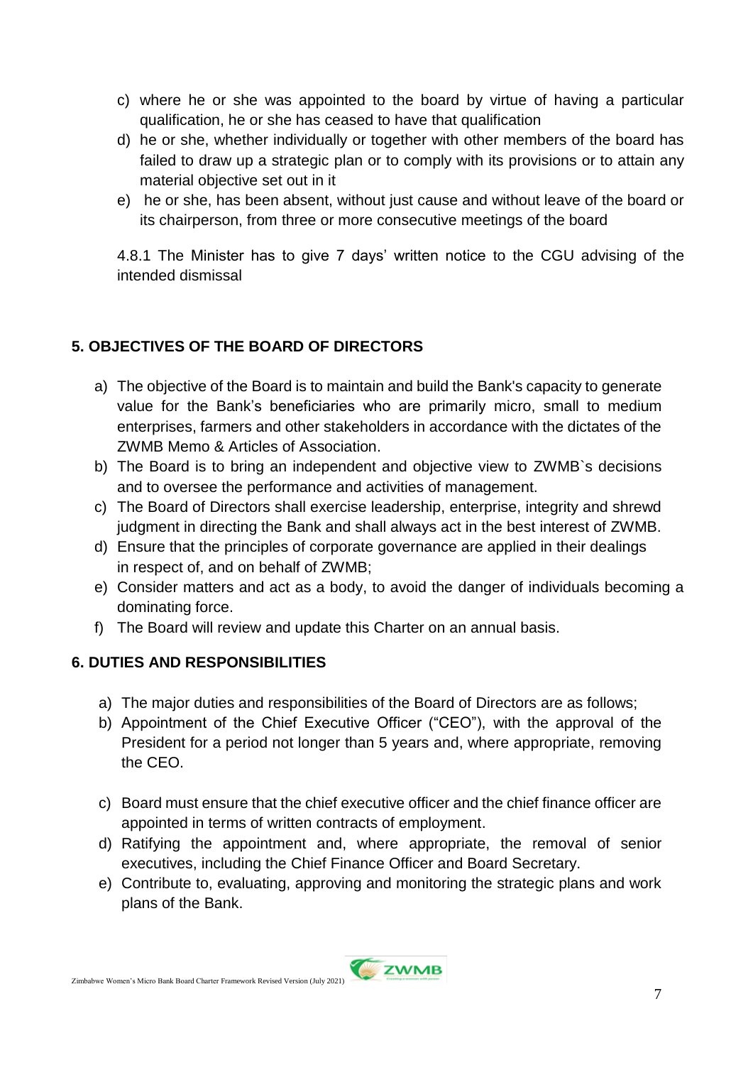- c) where he or she was appointed to the board by virtue of having a particular qualification, he or she has ceased to have that qualification
- d) he or she, whether individually or together with other members of the board has failed to draw up a strategic plan or to comply with its provisions or to attain any material objective set out in it
- e) he or she, has been absent, without just cause and without leave of the board or its chairperson, from three or more consecutive meetings of the board

4.8.1 The Minister has to give 7 days' written notice to the CGU advising of the intended dismissal

# **5. OBJECTIVES OF THE BOARD OF DIRECTORS**

- a) The objective of the Board is to maintain and build the Bank's capacity to generate value for the Bank's beneficiaries who are primarily micro, small to medium enterprises, farmers and other stakeholders in accordance with the dictates of the ZWMB Memo & Articles of Association.
- b) The Board is to bring an independent and objective view to ZWMB`s decisions and to oversee the performance and activities of management.
- c) The Board of Directors shall exercise leadership, enterprise, integrity and shrewd judgment in directing the Bank and shall always act in the best interest of ZWMB.
- d) Ensure that the principles of corporate governance are applied in their dealings in respect of, and on behalf of ZWMB;
- e) Consider matters and act as a body, to avoid the danger of individuals becoming a dominating force.
- f) The Board will review and update this Charter on an annual basis.

## **6. DUTIES AND RESPONSIBILITIES**

- a) The major duties and responsibilities of the Board of Directors are as follows;
- b) Appointment of the Chief Executive Officer ("CEO"), with the approval of the President for a period not longer than 5 years and, where appropriate, removing the CEO.
- c) Board must ensure that the chief executive officer and the chief finance officer are appointed in terms of written contracts of employment.
- d) Ratifying the appointment and, where appropriate, the removal of senior executives, including the Chief Finance Officer and Board Secretary.
- e) Contribute to, evaluating, approving and monitoring the strategic plans and work plans of the Bank.

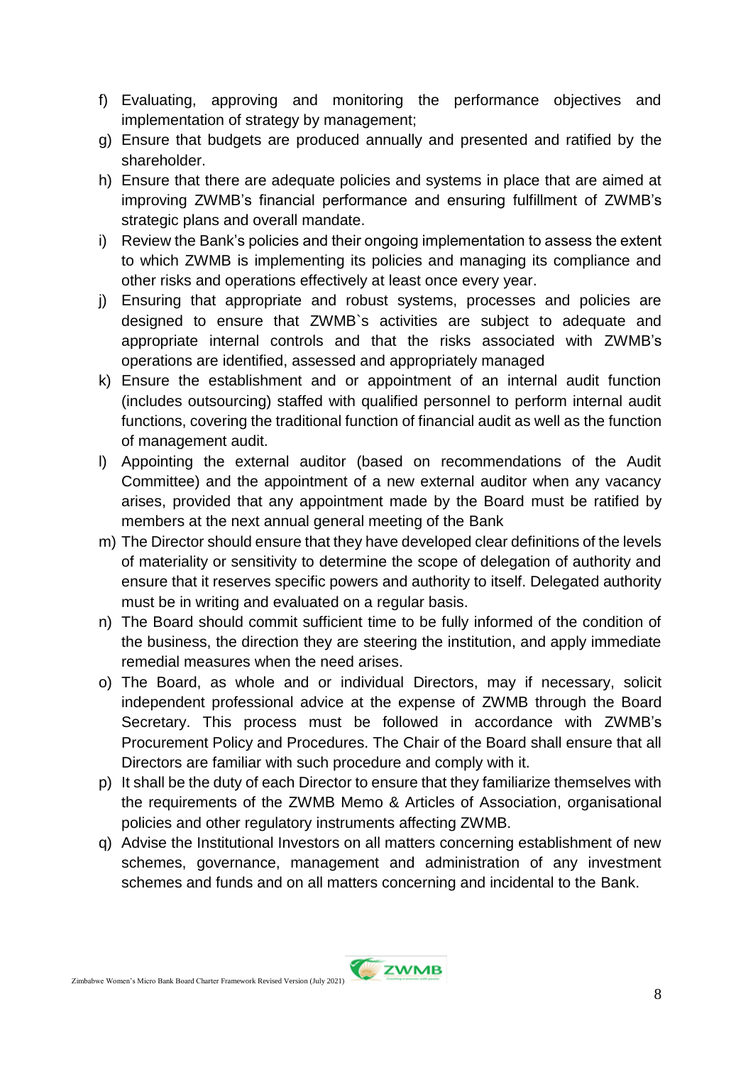- f) Evaluating, approving and monitoring the performance objectives and implementation of strategy by management;
- g) Ensure that budgets are produced annually and presented and ratified by the shareholder.
- h) Ensure that there are adequate policies and systems in place that are aimed at improving ZWMB's financial performance and ensuring fulfillment of ZWMB's strategic plans and overall mandate.
- i) Review the Bank's policies and their ongoing implementation to assess the extent to which ZWMB is implementing its policies and managing its compliance and other risks and operations effectively at least once every year.
- j) Ensuring that appropriate and robust systems, processes and policies are designed to ensure that ZWMB`s activities are subject to adequate and appropriate internal controls and that the risks associated with ZWMB's operations are identified, assessed and appropriately managed
- k) Ensure the establishment and or appointment of an internal audit function (includes outsourcing) staffed with qualified personnel to perform internal audit functions, covering the traditional function of financial audit as well as the function of management audit.
- l) Appointing the external auditor (based on recommendations of the Audit Committee) and the appointment of a new external auditor when any vacancy arises, provided that any appointment made by the Board must be ratified by members at the next annual general meeting of the Bank
- m) The Director should ensure that they have developed clear definitions of the levels of materiality or sensitivity to determine the scope of delegation of authority and ensure that it reserves specific powers and authority to itself. Delegated authority must be in writing and evaluated on a regular basis.
- n) The Board should commit sufficient time to be fully informed of the condition of the business, the direction they are steering the institution, and apply immediate remedial measures when the need arises.
- o) The Board, as whole and or individual Directors, may if necessary, solicit independent professional advice at the expense of ZWMB through the Board Secretary. This process must be followed in accordance with ZWMB's Procurement Policy and Procedures. The Chair of the Board shall ensure that all Directors are familiar with such procedure and comply with it.
- p) It shall be the duty of each Director to ensure that they familiarize themselves with the requirements of the ZWMB Memo & Articles of Association, organisational policies and other regulatory instruments affecting ZWMB.
- q) Advise the Institutional Investors on all matters concerning establishment of new schemes, governance, management and administration of any investment schemes and funds and on all matters concerning and incidental to the Bank.

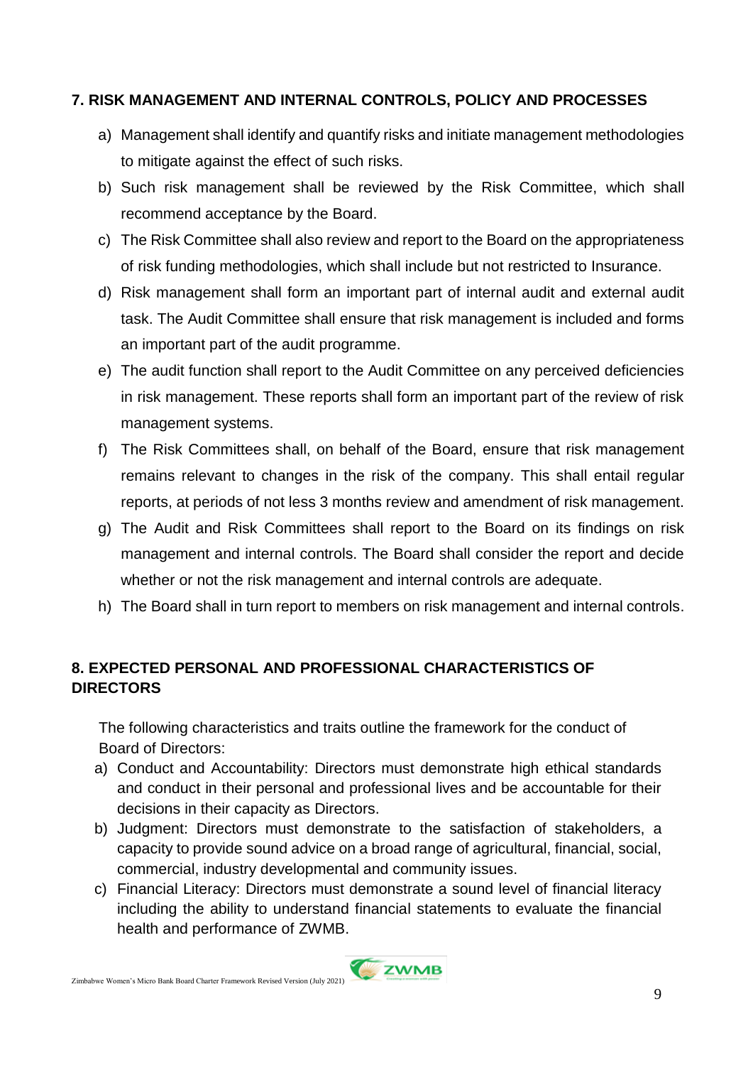#### **7. RISK MANAGEMENT AND INTERNAL CONTROLS, POLICY AND PROCESSES**

- a) Management shall identify and quantify risks and initiate management methodologies to mitigate against the effect of such risks.
- b) Such risk management shall be reviewed by the Risk Committee, which shall recommend acceptance by the Board.
- c) The Risk Committee shall also review and report to the Board on the appropriateness of risk funding methodologies, which shall include but not restricted to Insurance.
- d) Risk management shall form an important part of internal audit and external audit task. The Audit Committee shall ensure that risk management is included and forms an important part of the audit programme.
- e) The audit function shall report to the Audit Committee on any perceived deficiencies in risk management. These reports shall form an important part of the review of risk management systems.
- f) The Risk Committees shall, on behalf of the Board, ensure that risk management remains relevant to changes in the risk of the company. This shall entail regular reports, at periods of not less 3 months review and amendment of risk management.
- g) The Audit and Risk Committees shall report to the Board on its findings on risk management and internal controls. The Board shall consider the report and decide whether or not the risk management and internal controls are adequate.
- h) The Board shall in turn report to members on risk management and internal controls.

## **8. EXPECTED PERSONAL AND PROFESSIONAL CHARACTERISTICS OF DIRECTORS**

The following characteristics and traits outline the framework for the conduct of Board of Directors:

- a) Conduct and Accountability: Directors must demonstrate high ethical standards and conduct in their personal and professional lives and be accountable for their decisions in their capacity as Directors.
- b) Judgment: Directors must demonstrate to the satisfaction of stakeholders, a capacity to provide sound advice on a broad range of agricultural, financial, social, commercial, industry developmental and community issues.
- c) Financial Literacy: Directors must demonstrate a sound level of financial literacy including the ability to understand financial statements to evaluate the financial health and performance of ZWMB.

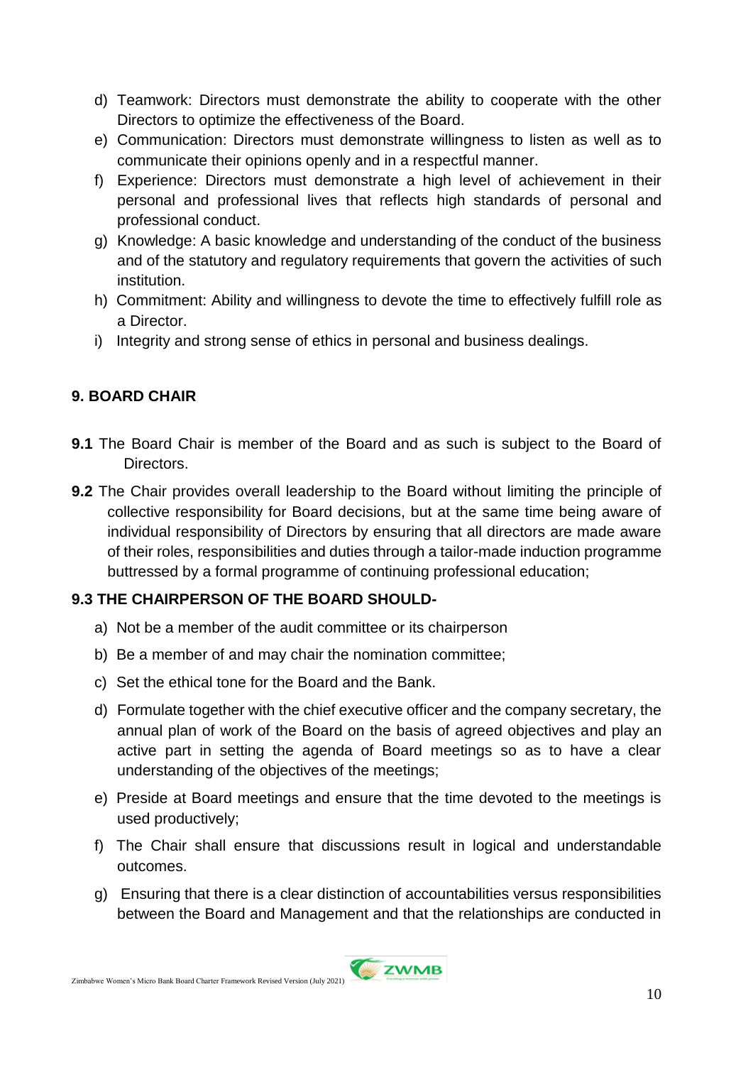- d) Teamwork: Directors must demonstrate the ability to cooperate with the other Directors to optimize the effectiveness of the Board.
- e) Communication: Directors must demonstrate willingness to listen as well as to communicate their opinions openly and in a respectful manner.
- f) Experience: Directors must demonstrate a high level of achievement in their personal and professional lives that reflects high standards of personal and professional conduct.
- g) Knowledge: A basic knowledge and understanding of the conduct of the business and of the statutory and regulatory requirements that govern the activities of such institution.
- h) Commitment: Ability and willingness to devote the time to effectively fulfill role as a Director.
- i) Integrity and strong sense of ethics in personal and business dealings.

## **9. BOARD CHAIR**

- **9.1** The Board Chair is member of the Board and as such is subject to the Board of Directors.
- **9.2** The Chair provides overall leadership to the Board without limiting the principle of collective responsibility for Board decisions, but at the same time being aware of individual responsibility of Directors by ensuring that all directors are made aware of their roles, responsibilities and duties through a tailor-made induction programme buttressed by a formal programme of continuing professional education;

## **9.3 THE CHAIRPERSON OF THE BOARD SHOULD-**

- a) Not be a member of the audit committee or its chairperson
- b) Be a member of and may chair the nomination committee;
- c) Set the ethical tone for the Board and the Bank.
- d) Formulate together with the chief executive officer and the company secretary, the annual plan of work of the Board on the basis of agreed objectives and play an active part in setting the agenda of Board meetings so as to have a clear understanding of the objectives of the meetings;
- e) Preside at Board meetings and ensure that the time devoted to the meetings is used productively;
- f) The Chair shall ensure that discussions result in logical and understandable outcomes.
- g) Ensuring that there is a clear distinction of accountabilities versus responsibilities between the Board and Management and that the relationships are conducted in

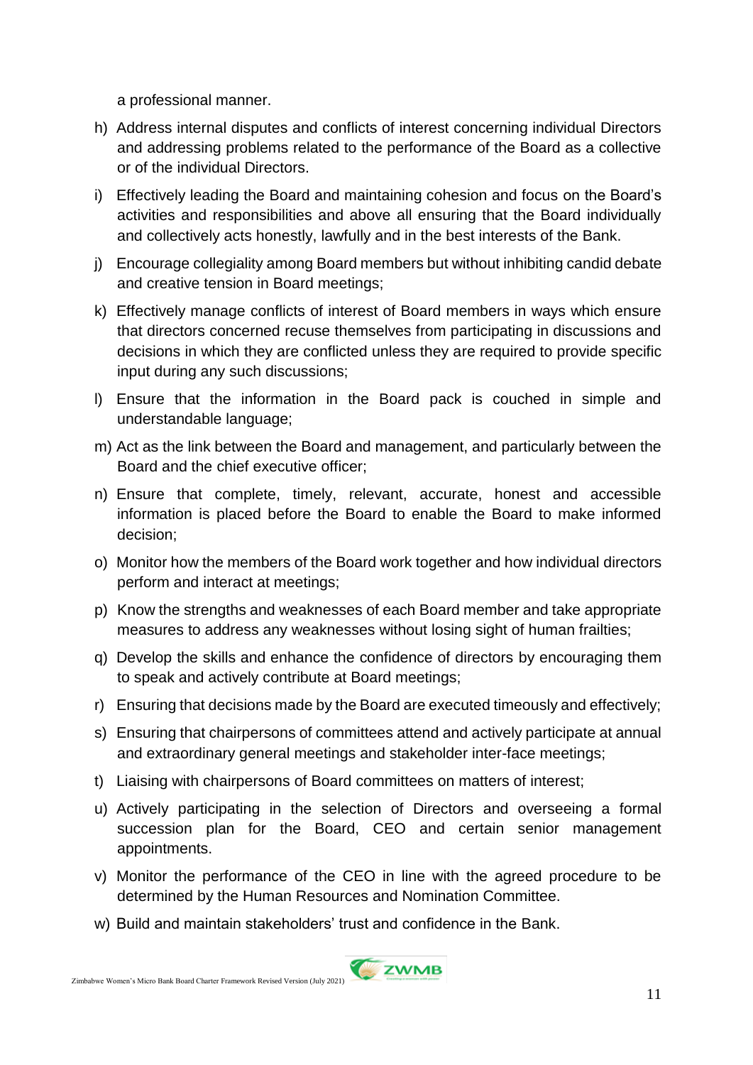a professional manner.

- h) Address internal disputes and conflicts of interest concerning individual Directors and addressing problems related to the performance of the Board as a collective or of the individual Directors.
- i) Effectively leading the Board and maintaining cohesion and focus on the Board's activities and responsibilities and above all ensuring that the Board individually and collectively acts honestly, lawfully and in the best interests of the Bank.
- j) Encourage collegiality among Board members but without inhibiting candid debate and creative tension in Board meetings;
- k) Effectively manage conflicts of interest of Board members in ways which ensure that directors concerned recuse themselves from participating in discussions and decisions in which they are conflicted unless they are required to provide specific input during any such discussions;
- l) Ensure that the information in the Board pack is couched in simple and understandable language;
- m) Act as the link between the Board and management, and particularly between the Board and the chief executive officer;
- n) Ensure that complete, timely, relevant, accurate, honest and accessible information is placed before the Board to enable the Board to make informed decision;
- o) Monitor how the members of the Board work together and how individual directors perform and interact at meetings;
- p) Know the strengths and weaknesses of each Board member and take appropriate measures to address any weaknesses without losing sight of human frailties;
- q) Develop the skills and enhance the confidence of directors by encouraging them to speak and actively contribute at Board meetings;
- r) Ensuring that decisions made by the Board are executed timeously and effectively;
- s) Ensuring that chairpersons of committees attend and actively participate at annual and extraordinary general meetings and stakeholder inter-face meetings;
- t) Liaising with chairpersons of Board committees on matters of interest;
- u) Actively participating in the selection of Directors and overseeing a formal succession plan for the Board, CEO and certain senior management appointments.
- v) Monitor the performance of the CEO in line with the agreed procedure to be determined by the Human Resources and Nomination Committee.
- w) Build and maintain stakeholders' trust and confidence in the Bank.

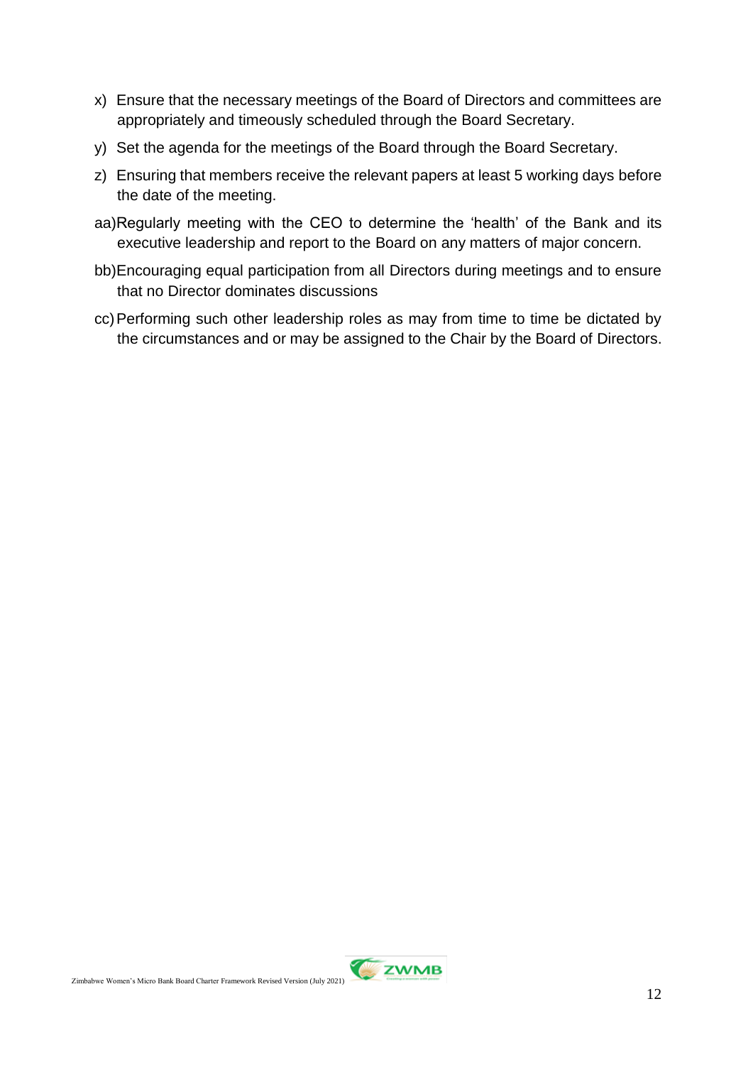- x) Ensure that the necessary meetings of the Board of Directors and committees are appropriately and timeously scheduled through the Board Secretary.
- y) Set the agenda for the meetings of the Board through the Board Secretary.
- z) Ensuring that members receive the relevant papers at least 5 working days before the date of the meeting.
- aa)Regularly meeting with the CEO to determine the 'health' of the Bank and its executive leadership and report to the Board on any matters of major concern.
- bb)Encouraging equal participation from all Directors during meetings and to ensure that no Director dominates discussions
- cc)Performing such other leadership roles as may from time to time be dictated by the circumstances and or may be assigned to the Chair by the Board of Directors.

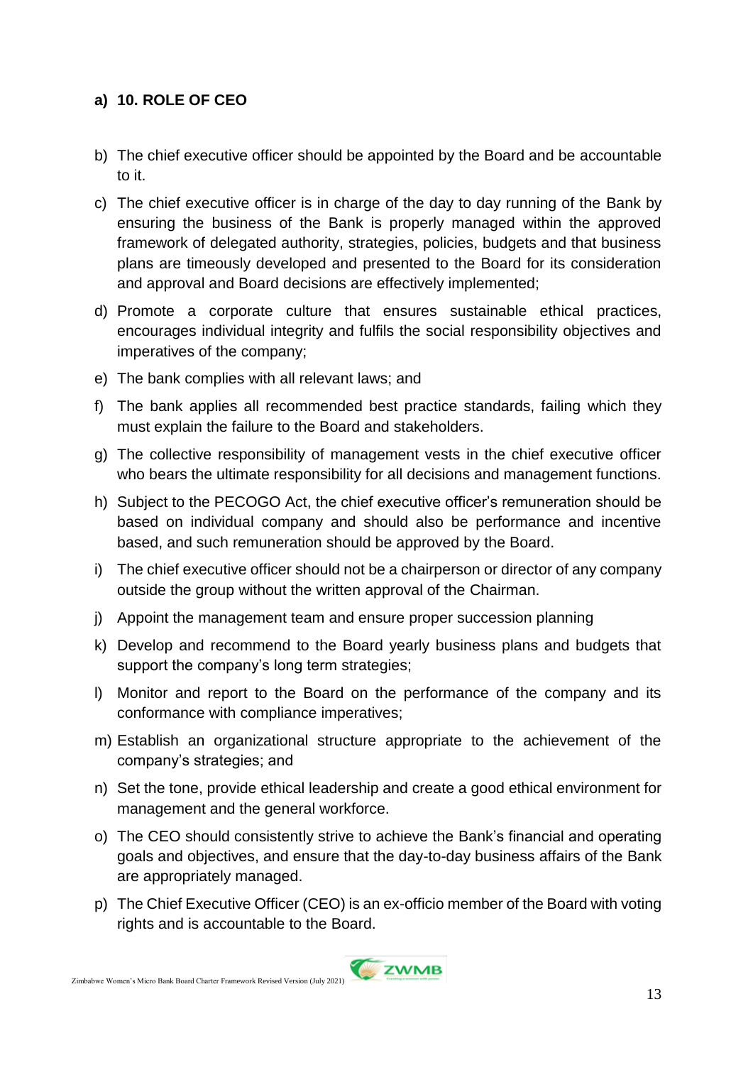## **a) 10. ROLE OF CEO**

- b) The chief executive officer should be appointed by the Board and be accountable to it.
- c) The chief executive officer is in charge of the day to day running of the Bank by ensuring the business of the Bank is properly managed within the approved framework of delegated authority, strategies, policies, budgets and that business plans are timeously developed and presented to the Board for its consideration and approval and Board decisions are effectively implemented;
- d) Promote a corporate culture that ensures sustainable ethical practices, encourages individual integrity and fulfils the social responsibility objectives and imperatives of the company;
- e) The bank complies with all relevant laws; and
- f) The bank applies all recommended best practice standards, failing which they must explain the failure to the Board and stakeholders.
- g) The collective responsibility of management vests in the chief executive officer who bears the ultimate responsibility for all decisions and management functions.
- h) Subject to the PECOGO Act, the chief executive officer's remuneration should be based on individual company and should also be performance and incentive based, and such remuneration should be approved by the Board.
- i) The chief executive officer should not be a chairperson or director of any company outside the group without the written approval of the Chairman.
- j) Appoint the management team and ensure proper succession planning
- k) Develop and recommend to the Board yearly business plans and budgets that support the company's long term strategies;
- l) Monitor and report to the Board on the performance of the company and its conformance with compliance imperatives;
- m) Establish an organizational structure appropriate to the achievement of the company's strategies; and
- n) Set the tone, provide ethical leadership and create a good ethical environment for management and the general workforce.
- o) The CEO should consistently strive to achieve the Bank's financial and operating goals and objectives, and ensure that the day-to-day business affairs of the Bank are appropriately managed.
- p) The Chief Executive Officer (CEO) is an ex-officio member of the Board with voting rights and is accountable to the Board.

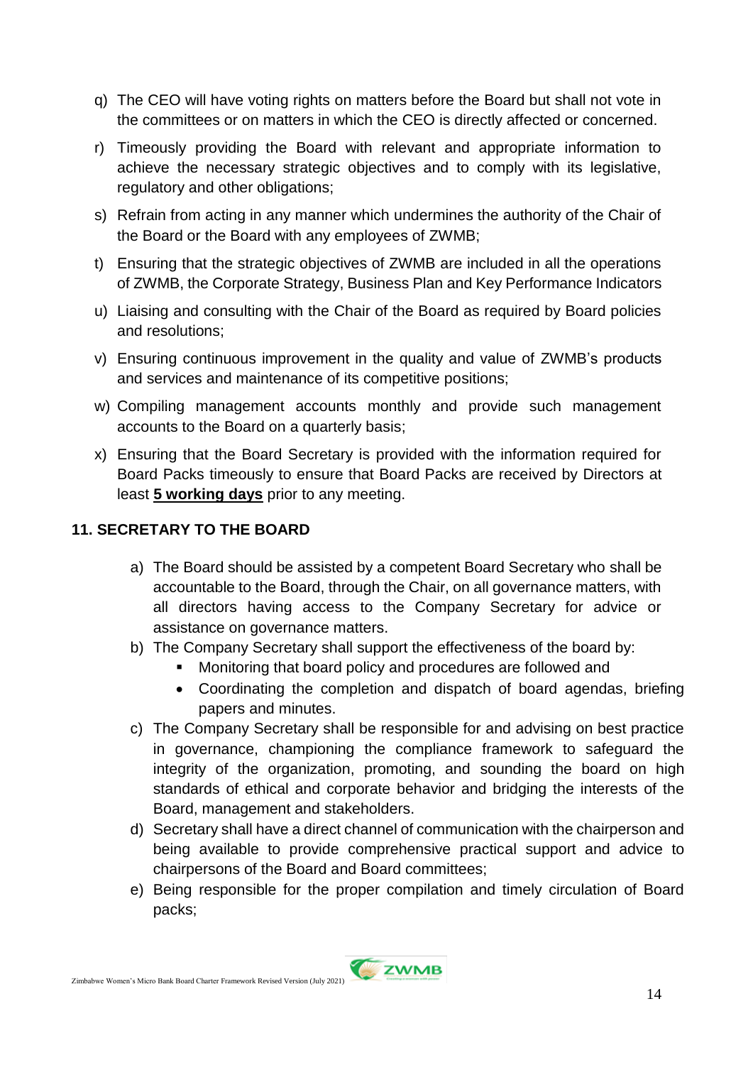- q) The CEO will have voting rights on matters before the Board but shall not vote in the committees or on matters in which the CEO is directly affected or concerned.
- r) Timeously providing the Board with relevant and appropriate information to achieve the necessary strategic objectives and to comply with its legislative, regulatory and other obligations;
- s) Refrain from acting in any manner which undermines the authority of the Chair of the Board or the Board with any employees of ZWMB;
- t) Ensuring that the strategic objectives of ZWMB are included in all the operations of ZWMB, the Corporate Strategy, Business Plan and Key Performance Indicators
- u) Liaising and consulting with the Chair of the Board as required by Board policies and resolutions;
- v) Ensuring continuous improvement in the quality and value of ZWMB's products and services and maintenance of its competitive positions;
- w) Compiling management accounts monthly and provide such management accounts to the Board on a quarterly basis;
- x) Ensuring that the Board Secretary is provided with the information required for Board Packs timeously to ensure that Board Packs are received by Directors at least **5 working days** prior to any meeting.

## **11. SECRETARY TO THE BOARD**

- a) The Board should be assisted by a competent Board Secretary who shall be accountable to the Board, through the Chair, on all governance matters, with all directors having access to the Company Secretary for advice or assistance on governance matters.
- b) The Company Secretary shall support the effectiveness of the board by:
	- Monitoring that board policy and procedures are followed and
	- Coordinating the completion and dispatch of board agendas, briefing papers and minutes.
- c) The Company Secretary shall be responsible for and advising on best practice in governance, championing the compliance framework to safeguard the integrity of the organization, promoting, and sounding the board on high standards of ethical and corporate behavior and bridging the interests of the Board, management and stakeholders.
- d) Secretary shall have a direct channel of communication with the chairperson and being available to provide comprehensive practical support and advice to chairpersons of the Board and Board committees;
- e) Being responsible for the proper compilation and timely circulation of Board packs;

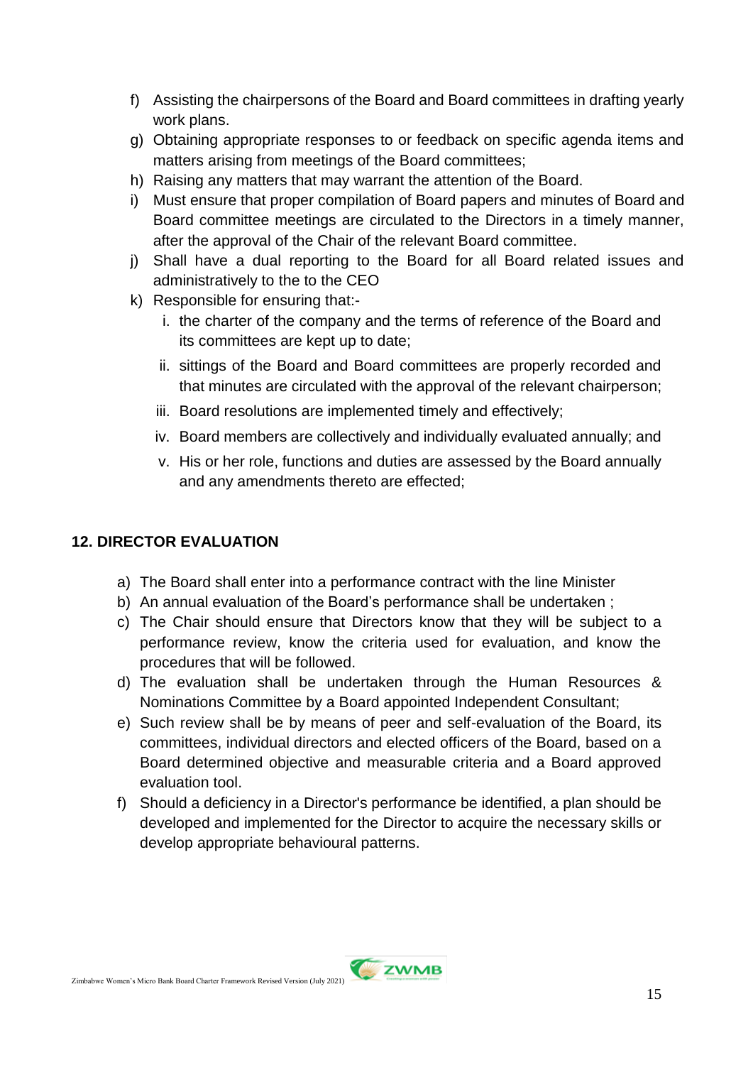- f) Assisting the chairpersons of the Board and Board committees in drafting yearly work plans.
- g) Obtaining appropriate responses to or feedback on specific agenda items and matters arising from meetings of the Board committees;
- h) Raising any matters that may warrant the attention of the Board.
- i) Must ensure that proper compilation of Board papers and minutes of Board and Board committee meetings are circulated to the Directors in a timely manner, after the approval of the Chair of the relevant Board committee.
- j) Shall have a dual reporting to the Board for all Board related issues and administratively to the to the CEO
- k) Responsible for ensuring that:
	- i. the charter of the company and the terms of reference of the Board and its committees are kept up to date;
	- ii. sittings of the Board and Board committees are properly recorded and that minutes are circulated with the approval of the relevant chairperson;
	- iii. Board resolutions are implemented timely and effectively;
	- iv. Board members are collectively and individually evaluated annually; and
	- v. His or her role, functions and duties are assessed by the Board annually and any amendments thereto are effected;

## **12. DIRECTOR EVALUATION**

- a) The Board shall enter into a performance contract with the line Minister
- b) An annual evaluation of the Board's performance shall be undertaken ;
- c) The Chair should ensure that Directors know that they will be subject to a performance review, know the criteria used for evaluation, and know the procedures that will be followed.
- d) The evaluation shall be undertaken through the Human Resources & Nominations Committee by a Board appointed Independent Consultant;
- e) Such review shall be by means of peer and self-evaluation of the Board, its committees, individual directors and elected officers of the Board, based on a Board determined objective and measurable criteria and a Board approved evaluation tool.
- f) Should a deficiency in a Director's performance be identified, a plan should be developed and implemented for the Director to acquire the necessary skills or develop appropriate behavioural patterns.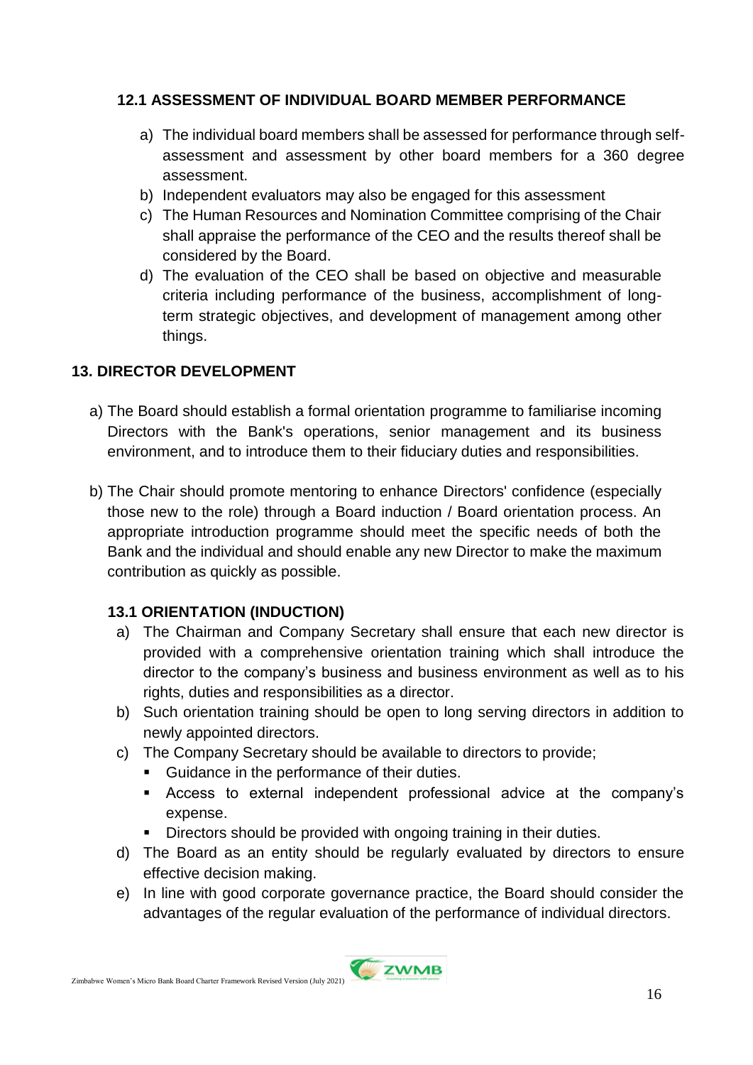## **12.1 ASSESSMENT OF INDIVIDUAL BOARD MEMBER PERFORMANCE**

- a) The individual board members shall be assessed for performance through selfassessment and assessment by other board members for a 360 degree assessment.
- b) Independent evaluators may also be engaged for this assessment
- c) The Human Resources and Nomination Committee comprising of the Chair shall appraise the performance of the CEO and the results thereof shall be considered by the Board.
- d) The evaluation of the CEO shall be based on objective and measurable criteria including performance of the business, accomplishment of longterm strategic objectives, and development of management among other things.

## **13. DIRECTOR DEVELOPMENT**

- a) The Board should establish a formal orientation programme to familiarise incoming Directors with the Bank's operations, senior management and its business environment, and to introduce them to their fiduciary duties and responsibilities.
- b) The Chair should promote mentoring to enhance Directors' confidence (especially those new to the role) through a Board induction / Board orientation process. An appropriate introduction programme should meet the specific needs of both the Bank and the individual and should enable any new Director to make the maximum contribution as quickly as possible.

#### **13.1 ORIENTATION (INDUCTION)**

- a) The Chairman and Company Secretary shall ensure that each new director is provided with a comprehensive orientation training which shall introduce the director to the company's business and business environment as well as to his rights, duties and responsibilities as a director.
- b) Such orientation training should be open to long serving directors in addition to newly appointed directors.
- c) The Company Secretary should be available to directors to provide;
	- **Guidance in the performance of their duties.**
	- Access to external independent professional advice at the company's expense.
	- Directors should be provided with ongoing training in their duties.
- d) The Board as an entity should be regularly evaluated by directors to ensure effective decision making.
- e) In line with good corporate governance practice, the Board should consider the advantages of the regular evaluation of the performance of individual directors.



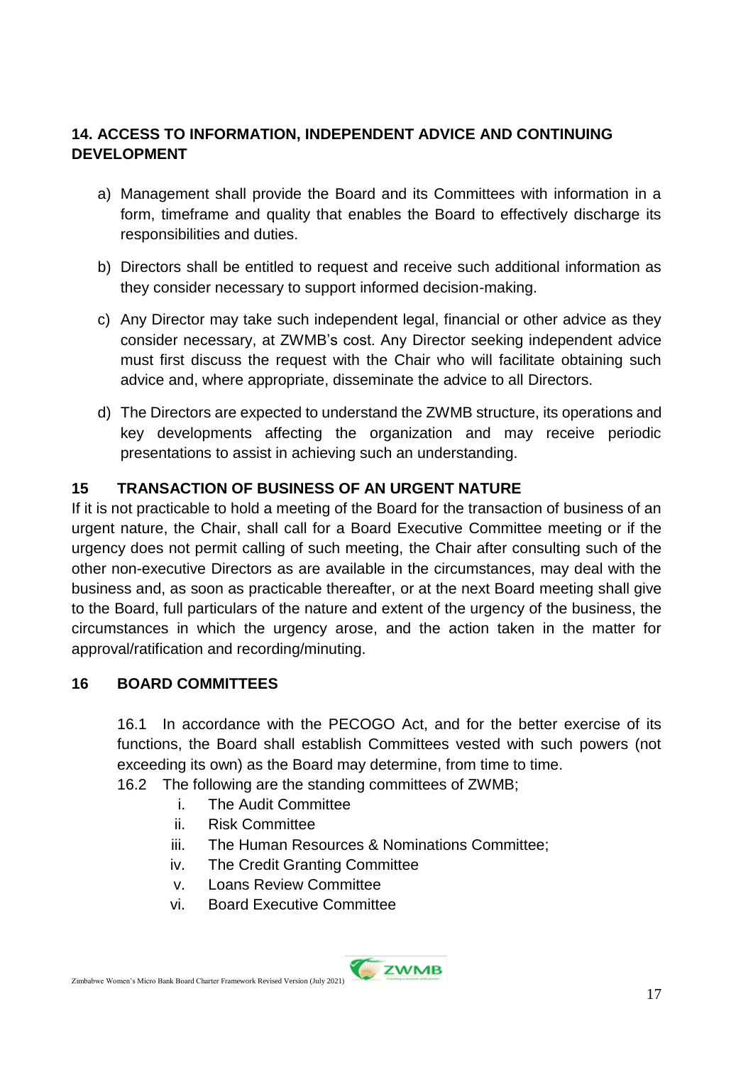## **14. ACCESS TO INFORMATION, INDEPENDENT ADVICE AND CONTINUING DEVELOPMENT**

- a) Management shall provide the Board and its Committees with information in a form, timeframe and quality that enables the Board to effectively discharge its responsibilities and duties.
- b) Directors shall be entitled to request and receive such additional information as they consider necessary to support informed decision-making.
- c) Any Director may take such independent legal, financial or other advice as they consider necessary, at ZWMB's cost. Any Director seeking independent advice must first discuss the request with the Chair who will facilitate obtaining such advice and, where appropriate, disseminate the advice to all Directors.
- d) The Directors are expected to understand the ZWMB structure, its operations and key developments affecting the organization and may receive periodic presentations to assist in achieving such an understanding.

## **15 TRANSACTION OF BUSINESS OF AN URGENT NATURE**

If it is not practicable to hold a meeting of the Board for the transaction of business of an urgent nature, the Chair, shall call for a Board Executive Committee meeting or if the urgency does not permit calling of such meeting, the Chair after consulting such of the other non-executive Directors as are available in the circumstances, may deal with the business and, as soon as practicable thereafter, or at the next Board meeting shall give to the Board, full particulars of the nature and extent of the urgency of the business, the circumstances in which the urgency arose, and the action taken in the matter for approval/ratification and recording/minuting.

#### **16 BOARD COMMITTEES**

16.1 In accordance with the PECOGO Act, and for the better exercise of its functions, the Board shall establish Committees vested with such powers (not exceeding its own) as the Board may determine, from time to time.

16.2 The following are the standing committees of ZWMB;

- i. The Audit Committee
- ii. Risk Committee
- iii. The Human Resources & Nominations Committee;
- iv. The Credit Granting Committee
- v. Loans Review Committee
- vi. Board Executive Committee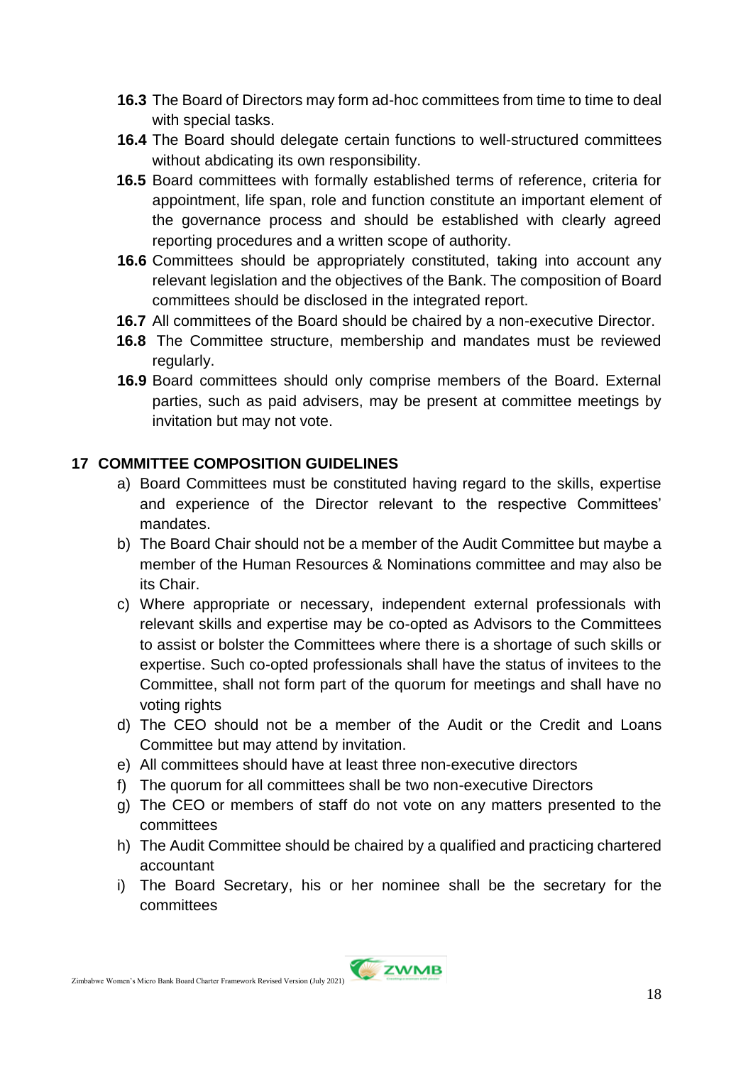- **16.3** The Board of Directors may form ad-hoc committees from time to time to deal with special tasks.
- **16.4** The Board should delegate certain functions to well-structured committees without abdicating its own responsibility.
- **16.5** Board committees with formally established terms of reference, criteria for appointment, life span, role and function constitute an important element of the governance process and should be established with clearly agreed reporting procedures and a written scope of authority.
- **16.6** Committees should be appropriately constituted, taking into account any relevant legislation and the objectives of the Bank. The composition of Board committees should be disclosed in the integrated report.
- **16.7** All committees of the Board should be chaired by a non-executive Director.
- **16.8** The Committee structure, membership and mandates must be reviewed regularly.
- **16.9** Board committees should only comprise members of the Board. External parties, such as paid advisers, may be present at committee meetings by invitation but may not vote.

## **17 COMMITTEE COMPOSITION GUIDELINES**

- a) Board Committees must be constituted having regard to the skills, expertise and experience of the Director relevant to the respective Committees' mandates.
- b) The Board Chair should not be a member of the Audit Committee but maybe a member of the Human Resources & Nominations committee and may also be its Chair.
- c) Where appropriate or necessary, independent external professionals with relevant skills and expertise may be co-opted as Advisors to the Committees to assist or bolster the Committees where there is a shortage of such skills or expertise. Such co-opted professionals shall have the status of invitees to the Committee, shall not form part of the quorum for meetings and shall have no voting rights
- d) The CEO should not be a member of the Audit or the Credit and Loans Committee but may attend by invitation.
- e) All committees should have at least three non-executive directors
- f) The quorum for all committees shall be two non-executive Directors
- g) The CEO or members of staff do not vote on any matters presented to the committees
- h) The Audit Committee should be chaired by a qualified and practicing chartered accountant
- i) The Board Secretary, his or her nominee shall be the secretary for the committees

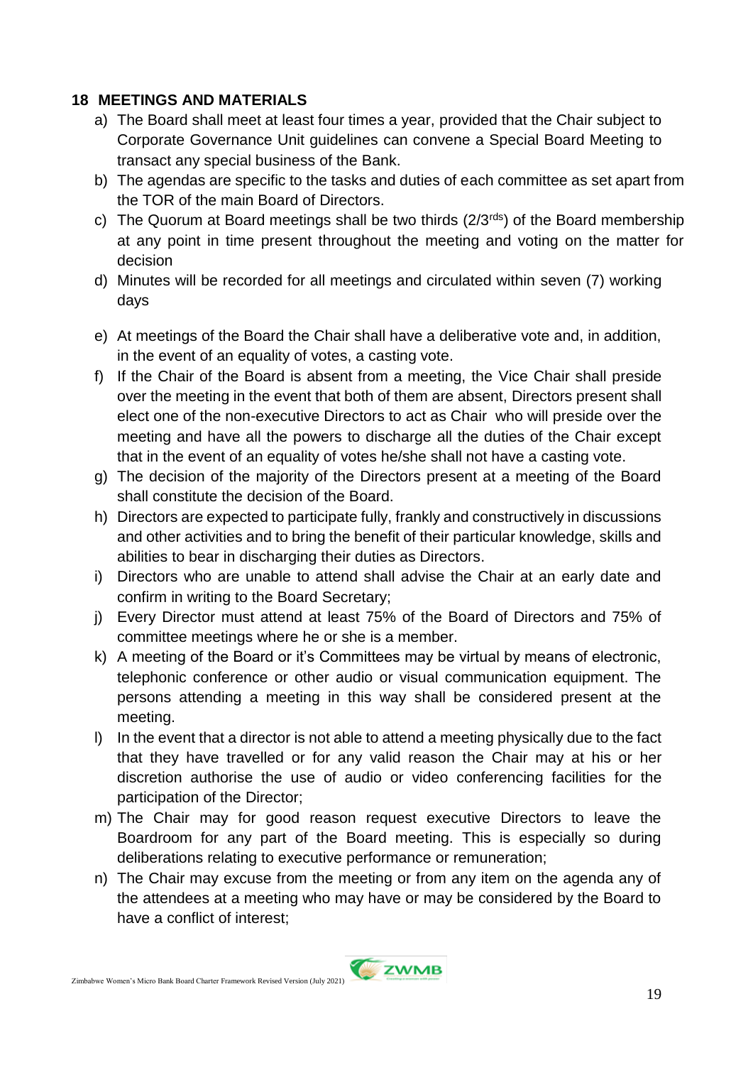#### **18 MEETINGS AND MATERIALS**

- a) The Board shall meet at least four times a year, provided that the Chair subject to Corporate Governance Unit guidelines can convene a Special Board Meeting to transact any special business of the Bank.
- b) The agendas are specific to the tasks and duties of each committee as set apart from the TOR of the main Board of Directors.
- c) The Quorum at Board meetings shall be two thirds  $(2/3^{rds})$  of the Board membership at any point in time present throughout the meeting and voting on the matter for decision
- d) Minutes will be recorded for all meetings and circulated within seven (7) working days
- e) At meetings of the Board the Chair shall have a deliberative vote and, in addition, in the event of an equality of votes, a casting vote.
- f) If the Chair of the Board is absent from a meeting, the Vice Chair shall preside over the meeting in the event that both of them are absent, Directors present shall elect one of the non-executive Directors to act as Chair who will preside over the meeting and have all the powers to discharge all the duties of the Chair except that in the event of an equality of votes he/she shall not have a casting vote.
- g) The decision of the majority of the Directors present at a meeting of the Board shall constitute the decision of the Board.
- h) Directors are expected to participate fully, frankly and constructively in discussions and other activities and to bring the benefit of their particular knowledge, skills and abilities to bear in discharging their duties as Directors.
- i) Directors who are unable to attend shall advise the Chair at an early date and confirm in writing to the Board Secretary;
- j) Every Director must attend at least 75% of the Board of Directors and 75% of committee meetings where he or she is a member.
- k) A meeting of the Board or it's Committees may be virtual by means of electronic, telephonic conference or other audio or visual communication equipment. The persons attending a meeting in this way shall be considered present at the meeting.
- l) In the event that a director is not able to attend a meeting physically due to the fact that they have travelled or for any valid reason the Chair may at his or her discretion authorise the use of audio or video conferencing facilities for the participation of the Director;
- m) The Chair may for good reason request executive Directors to leave the Boardroom for any part of the Board meeting. This is especially so during deliberations relating to executive performance or remuneration;
- n) The Chair may excuse from the meeting or from any item on the agenda any of the attendees at a meeting who may have or may be considered by the Board to have a conflict of interest;

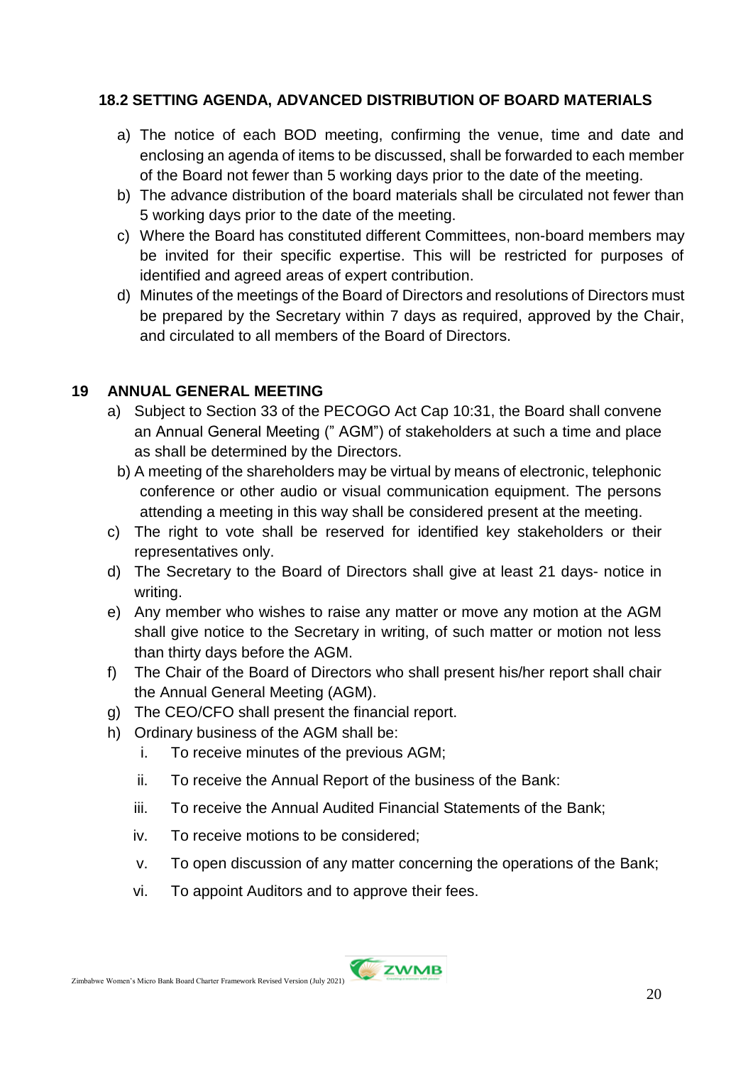#### **18.2 SETTING AGENDA, ADVANCED DISTRIBUTION OF BOARD MATERIALS**

- a) The notice of each BOD meeting, confirming the venue, time and date and enclosing an agenda of items to be discussed, shall be forwarded to each member of the Board not fewer than 5 working days prior to the date of the meeting.
- b) The advance distribution of the board materials shall be circulated not fewer than 5 working days prior to the date of the meeting.
- c) Where the Board has constituted different Committees, non-board members may be invited for their specific expertise. This will be restricted for purposes of identified and agreed areas of expert contribution.
- d) Minutes of the meetings of the Board of Directors and resolutions of Directors must be prepared by the Secretary within 7 days as required, approved by the Chair, and circulated to all members of the Board of Directors.

#### **19 ANNUAL GENERAL MEETING**

- a) Subject to Section 33 of the PECOGO Act Cap 10:31, the Board shall convene an Annual General Meeting (" AGM") of stakeholders at such a time and place as shall be determined by the Directors.
- b) A meeting of the shareholders may be virtual by means of electronic, telephonic conference or other audio or visual communication equipment. The persons attending a meeting in this way shall be considered present at the meeting.
- c) The right to vote shall be reserved for identified key stakeholders or their representatives only.
- d) The Secretary to the Board of Directors shall give at least 21 days- notice in writing.
- e) Any member who wishes to raise any matter or move any motion at the AGM shall give notice to the Secretary in writing, of such matter or motion not less than thirty days before the AGM.
- f) The Chair of the Board of Directors who shall present his/her report shall chair the Annual General Meeting (AGM).
- g) The CEO/CFO shall present the financial report.
- h) Ordinary business of the AGM shall be:
	- i. To receive minutes of the previous AGM;
	- ii. To receive the Annual Report of the business of the Bank:
	- iii. To receive the Annual Audited Financial Statements of the Bank;
	- iv. To receive motions to be considered;
	- v. To open discussion of any matter concerning the operations of the Bank;
	- vi. To appoint Auditors and to approve their fees.

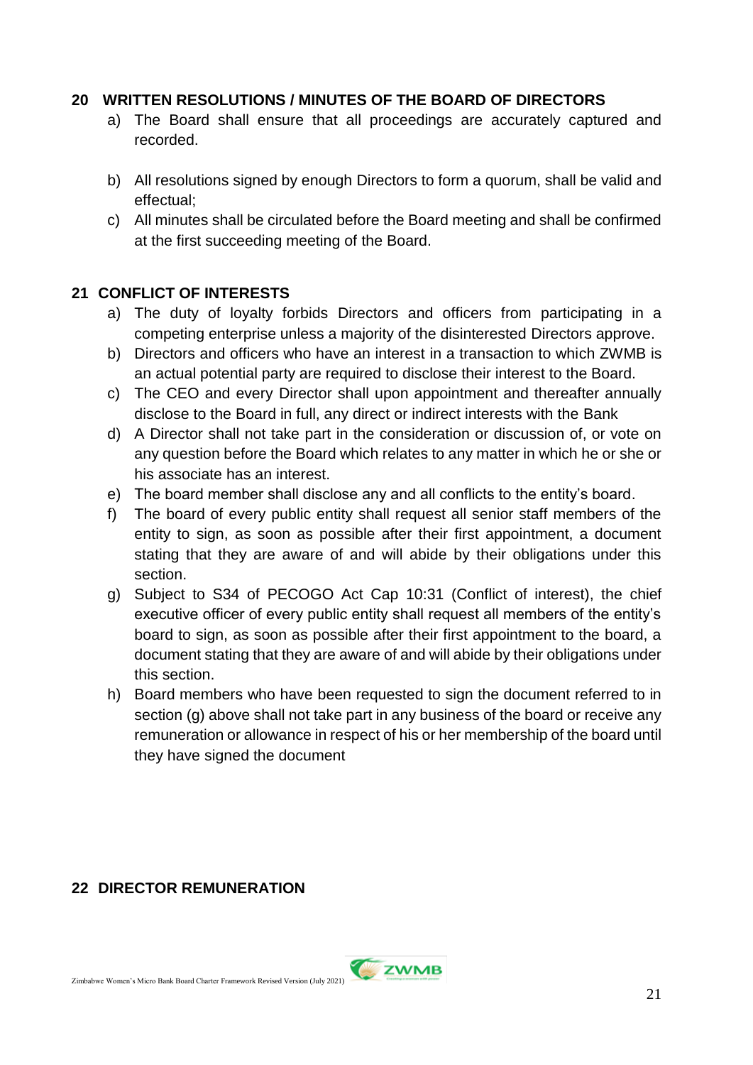#### **20 WRITTEN RESOLUTIONS / MINUTES OF THE BOARD OF DIRECTORS**

- a) The Board shall ensure that all proceedings are accurately captured and recorded.
- b) All resolutions signed by enough Directors to form a quorum, shall be valid and effectual;
- c) All minutes shall be circulated before the Board meeting and shall be confirmed at the first succeeding meeting of the Board.

#### **21 CONFLICT OF INTERESTS**

- a) The duty of loyalty forbids Directors and officers from participating in a competing enterprise unless a majority of the disinterested Directors approve.
- b) Directors and officers who have an interest in a transaction to which ZWMB is an actual potential party are required to disclose their interest to the Board.
- c) The CEO and every Director shall upon appointment and thereafter annually disclose to the Board in full, any direct or indirect interests with the Bank
- d) A Director shall not take part in the consideration or discussion of, or vote on any question before the Board which relates to any matter in which he or she or his associate has an interest.
- e) The board member shall disclose any and all conflicts to the entity's board.
- f) The board of every public entity shall request all senior staff members of the entity to sign, as soon as possible after their first appointment, a document stating that they are aware of and will abide by their obligations under this section.
- g) Subject to S34 of PECOGO Act Cap 10:31 (Conflict of interest), the chief executive officer of every public entity shall request all members of the entity's board to sign, as soon as possible after their first appointment to the board, a document stating that they are aware of and will abide by their obligations under this section.
- h) Board members who have been requested to sign the document referred to in section (g) above shall not take part in any business of the board or receive any remuneration or allowance in respect of his or her membership of the board until they have signed the document

#### **22 DIRECTOR REMUNERATION**

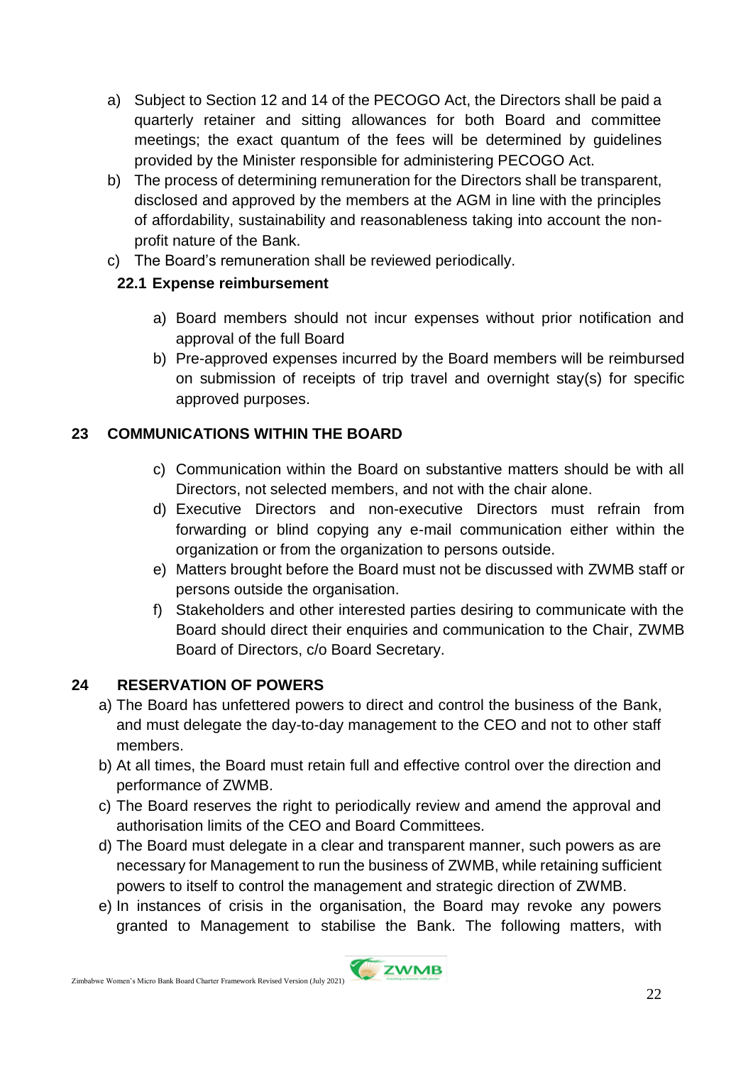- a) Subject to Section 12 and 14 of the PECOGO Act, the Directors shall be paid a quarterly retainer and sitting allowances for both Board and committee meetings; the exact quantum of the fees will be determined by guidelines provided by the Minister responsible for administering PECOGO Act.
- b) The process of determining remuneration for the Directors shall be transparent, disclosed and approved by the members at the AGM in line with the principles of affordability, sustainability and reasonableness taking into account the nonprofit nature of the Bank.
- c) The Board's remuneration shall be reviewed periodically.

## **22.1 Expense reimbursement**

- a) Board members should not incur expenses without prior notification and approval of the full Board
- b) Pre-approved expenses incurred by the Board members will be reimbursed on submission of receipts of trip travel and overnight stay(s) for specific approved purposes.

## **23 COMMUNICATIONS WITHIN THE BOARD**

- c) Communication within the Board on substantive matters should be with all Directors, not selected members, and not with the chair alone.
- d) Executive Directors and non-executive Directors must refrain from forwarding or blind copying any e-mail communication either within the organization or from the organization to persons outside.
- e) Matters brought before the Board must not be discussed with ZWMB staff or persons outside the organisation.
- f) Stakeholders and other interested parties desiring to communicate with the Board should direct their enquiries and communication to the Chair, ZWMB Board of Directors, c/o Board Secretary.

## **24 RESERVATION OF POWERS**

- a) The Board has unfettered powers to direct and control the business of the Bank, and must delegate the day-to-day management to the CEO and not to other staff members.
- b) At all times, the Board must retain full and effective control over the direction and performance of ZWMB.
- c) The Board reserves the right to periodically review and amend the approval and authorisation limits of the CEO and Board Committees.
- d) The Board must delegate in a clear and transparent manner, such powers as are necessary for Management to run the business of ZWMB, while retaining sufficient powers to itself to control the management and strategic direction of ZWMB.
- e) In instances of crisis in the organisation, the Board may revoke any powers granted to Management to stabilise the Bank. The following matters, with

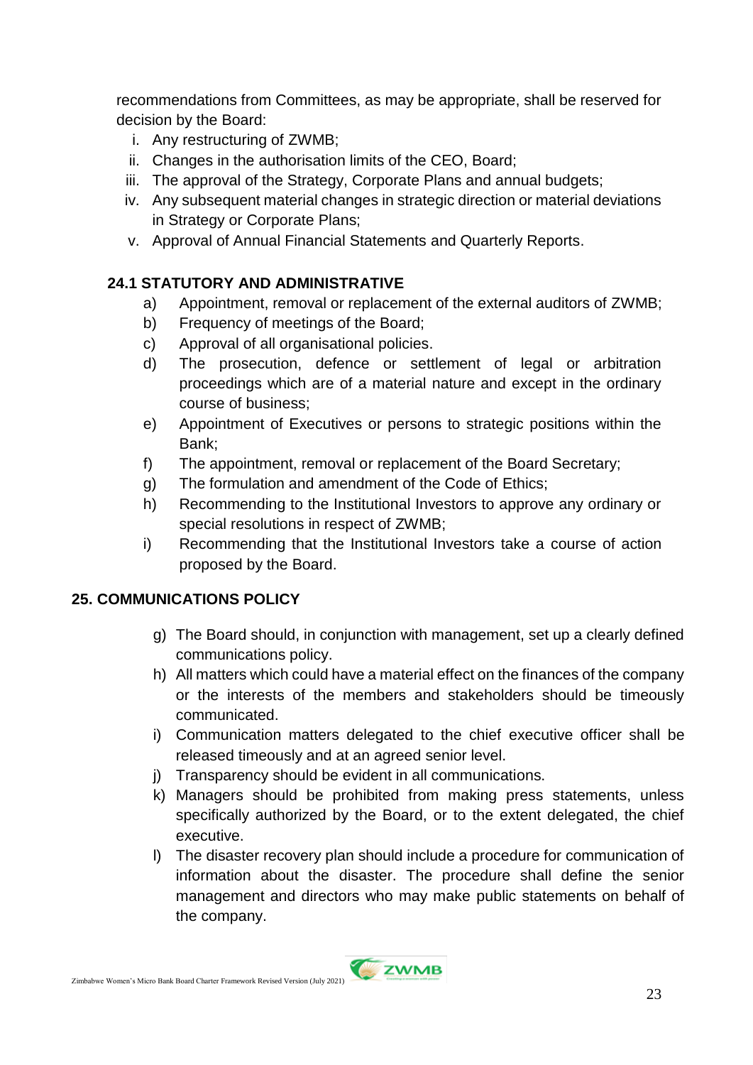recommendations from Committees, as may be appropriate, shall be reserved for decision by the Board:

- i. Any restructuring of ZWMB;
- ii. Changes in the authorisation limits of the CEO, Board;
- iii. The approval of the Strategy, Corporate Plans and annual budgets;
- iv. Any subsequent material changes in strategic direction or material deviations in Strategy or Corporate Plans;
- v. Approval of Annual Financial Statements and Quarterly Reports.

## **24.1 STATUTORY AND ADMINISTRATIVE**

- a) Appointment, removal or replacement of the external auditors of ZWMB;
- b) Frequency of meetings of the Board;
- c) Approval of all organisational policies.
- d) The prosecution, defence or settlement of legal or arbitration proceedings which are of a material nature and except in the ordinary course of business;
- e) Appointment of Executives or persons to strategic positions within the Bank;
- f) The appointment, removal or replacement of the Board Secretary;
- g) The formulation and amendment of the Code of Ethics;
- h) Recommending to the Institutional Investors to approve any ordinary or special resolutions in respect of ZWMB;
- i) Recommending that the Institutional Investors take a course of action proposed by the Board.

#### **25. COMMUNICATIONS POLICY**

- g) The Board should, in conjunction with management, set up a clearly defined communications policy.
- h) All matters which could have a material effect on the finances of the company or the interests of the members and stakeholders should be timeously communicated.
- i) Communication matters delegated to the chief executive officer shall be released timeously and at an agreed senior level.
- j) Transparency should be evident in all communications.
- k) Managers should be prohibited from making press statements, unless specifically authorized by the Board, or to the extent delegated, the chief executive.
- l) The disaster recovery plan should include a procedure for communication of information about the disaster. The procedure shall define the senior management and directors who may make public statements on behalf of the company.